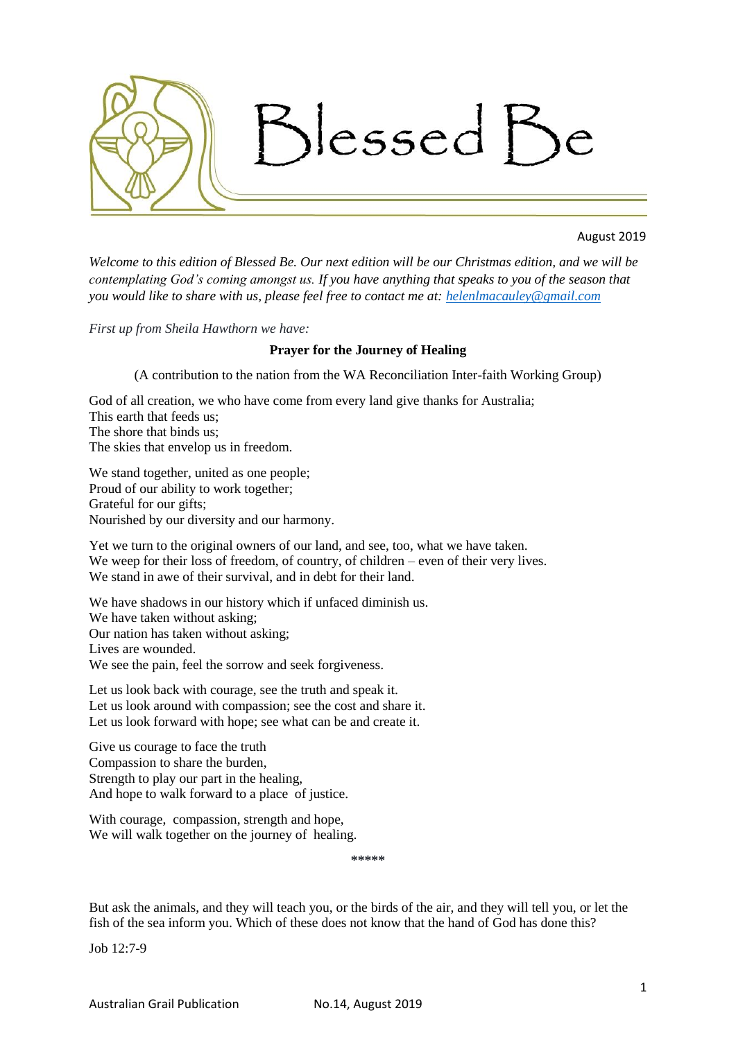

# August 2019

*Welcome to this edition of Blessed Be. Our next edition will be our Christmas edition, and we will be contemplating God's coming amongst us. If you have anything that speaks to you of the season that you would like to share with us, please feel free to contact me at: [helenlmacauley@gmail.com](mailto:helenlmacauley@gmail.com)*

*First up from Sheila Hawthorn we have:* 

### **Prayer for the Journey of Healing**

(A contribution to the nation from the WA Reconciliation Inter-faith Working Group)

God of all creation, we who have come from every land give thanks for Australia; This earth that feeds us; The shore that binds us; The skies that envelop us in freedom.

We stand together, united as one people; Proud of our ability to work together; Grateful for our gifts; Nourished by our diversity and our harmony.

Yet we turn to the original owners of our land, and see, too, what we have taken. We weep for their loss of freedom, of country, of children – even of their very lives. We stand in awe of their survival, and in debt for their land.

We have shadows in our history which if unfaced diminish us. We have taken without asking; Our nation has taken without asking; Lives are wounded. We see the pain, feel the sorrow and seek forgiveness.

Let us look back with courage, see the truth and speak it. Let us look around with compassion; see the cost and share it. Let us look forward with hope; see what can be and create it.

Give us courage to face the truth Compassion to share the burden, Strength to play our part in the healing. And hope to walk forward to a place of justice.

With courage, compassion, strength and hope, We will walk together on the journey of healing.

**\*\*\*\*\***

But ask the animals, and they will teach you, or the birds of the air, and they will tell you, or let the fish of the sea inform you. Which of these does not know that the hand of God has done this?

Job 12:7-9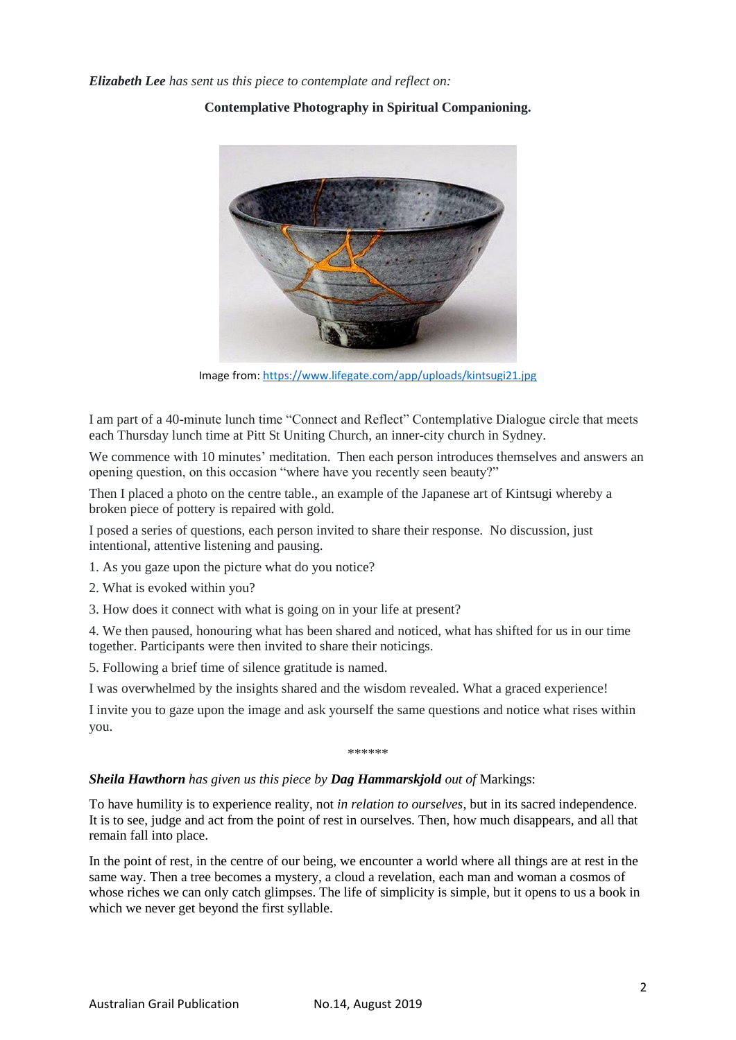*Elizabeth Lee has sent us this piece to contemplate and reflect on:*

**Contemplative Photography in Spiritual Companioning.**

Image from: <https://www.lifegate.com/app/uploads/kintsugi21.jpg>

I am part of a 40-minute lunch time "Connect and Reflect" Contemplative Dialogue circle that meets each Thursday lunch time at Pitt St Uniting Church, an inner-city church in Sydney.

We commence with 10 minutes' meditation. Then each person introduces themselves and answers an opening question, on this occasion "where have you recently seen beauty?"

Then I placed a photo on the centre table., an example of the Japanese art of Kintsugi whereby a broken piece of pottery is repaired with gold.

I posed a series of questions, each person invited to share their response. No discussion, just intentional, attentive listening and pausing.

1. As you gaze upon the picture what do you notice?

2. What is evoked within you?

3. How does it connect with what is going on in your life at present?

4. We then paused, honouring what has been shared and noticed, what has shifted for us in our time together. Participants were then invited to share their noticings.

5. Following a brief time of silence gratitude is named.

I was overwhelmed by the insights shared and the wisdom revealed. What a graced experience!

I invite you to gaze upon the image and ask yourself the same questions and notice what rises within you.

\*\*\*\*\*\*

## *Sheila Hawthorn has given us this piece by Dag Hammarskjold out of* Markings:

To have humility is to experience reality, not *in relation to ourselves*, but in its sacred independence. It is to see, judge and act from the point of rest in ourselves. Then, how much disappears, and all that remain fall into place.

In the point of rest, in the centre of our being, we encounter a world where all things are at rest in the same way. Then a tree becomes a mystery, a cloud a revelation, each man and woman a cosmos of whose riches we can only catch glimpses. The life of simplicity is simple, but it opens to us a book in which we never get beyond the first syllable.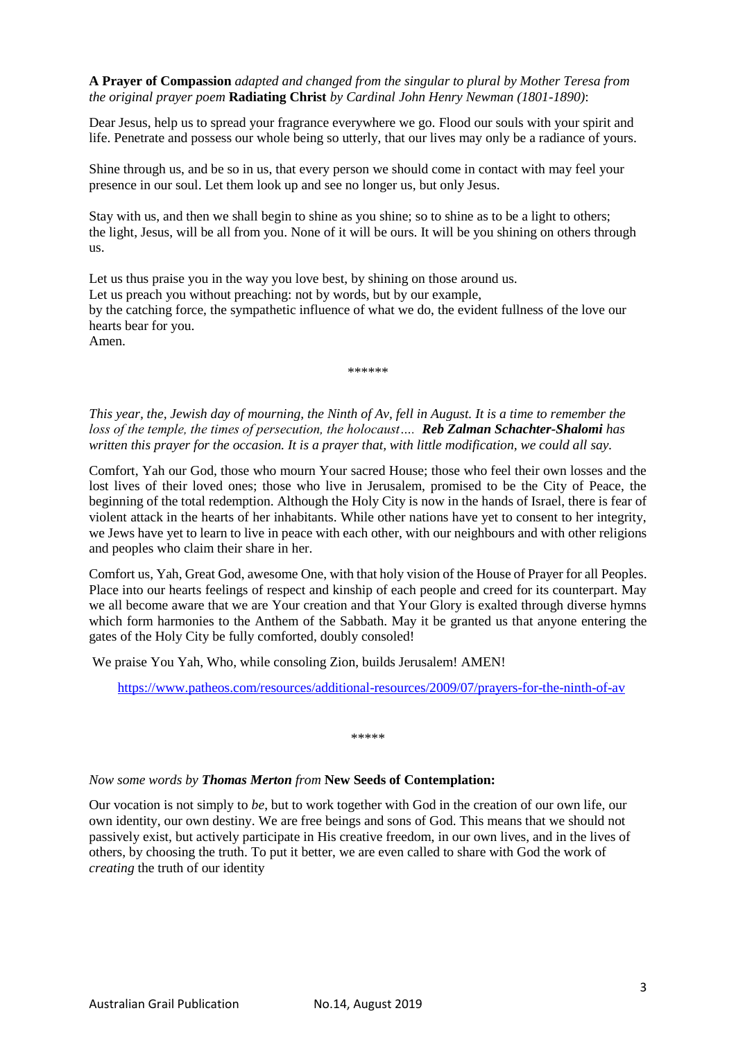**A Prayer of Compassion** *adapted and changed from the singular to plural by Mother Teresa from the original prayer poem* **Radiating Christ** *by Cardinal John Henry Newman (1801-1890)*:

Dear Jesus, help us to spread your fragrance everywhere we go. Flood our souls with your spirit and life. Penetrate and possess our whole being so utterly, that our lives may only be a radiance of yours.

Shine through us, and be so in us, that every person we should come in contact with may feel your presence in our soul. Let them look up and see no longer us, but only Jesus.

Stay with us, and then we shall begin to shine as you shine; so to shine as to be a light to others; the light, Jesus, will be all from you. None of it will be ours. It will be you shining on others through us.

Let us thus praise you in the way you love best, by shining on those around us. Let us preach you without preaching: not by words, but by our example, by the catching force, the sympathetic influence of what we do, the evident fullness of the love our hearts bear for you. Amen.

\*\*\*\*\*\*

*This year, the, Jewish day of mourning, the Ninth of Av, fell in August. It is a time to remember the loss of the temple, the times of persecution, the holocaust…. Reb Zalman Schachter-Shalomi has written this prayer for the occasion. It is a prayer that, with little modification, we could all say.*

Comfort, Yah our God, those who mourn Your sacred House; those who feel their own losses and the lost lives of their loved ones; those who live in Jerusalem, promised to be the City of Peace, the beginning of the total redemption. Although the Holy City is now in the hands of Israel, there is fear of violent attack in the hearts of her inhabitants. While other nations have yet to consent to her integrity, we Jews have yet to learn to live in peace with each other, with our neighbours and with other religions and peoples who claim their share in her.

Comfort us, Yah, Great God, awesome One, with that holy vision of the House of Prayer for all Peoples. Place into our hearts feelings of respect and kinship of each people and creed for its counterpart. May we all become aware that we are Your creation and that Your Glory is exalted through diverse hymns which form harmonies to the Anthem of the Sabbath. May it be granted us that anyone entering the gates of the Holy City be fully comforted, doubly consoled!

We praise You Yah, Who, while consoling Zion, builds Jerusalem! AMEN!

<https://www.patheos.com/resources/additional-resources/2009/07/prayers-for-the-ninth-of-av>

\*\*\*\*\*

#### *Now some words by Thomas Merton from* **New Seeds of Contemplation:**

Our vocation is not simply to *be*, but to work together with God in the creation of our own life, our own identity, our own destiny. We are free beings and sons of God. This means that we should not passively exist, but actively participate in His creative freedom, in our own lives, and in the lives of others, by choosing the truth. To put it better, we are even called to share with God the work of *creating* the truth of our identity